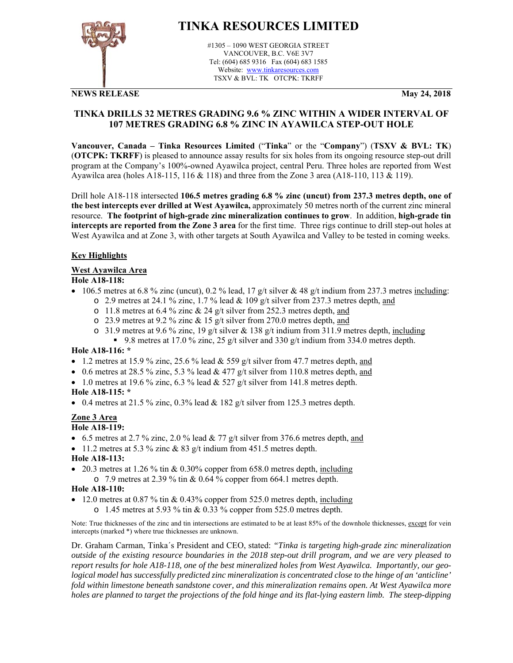

# **TINKA RESOURCES LIMITED**

#1305 – 1090 WEST GEORGIA STREET VANCOUVER, B.C. V6E 3V7 Tel: (604) 685 9316 Fax (604) 683 1585 Website: www.tinkaresources.com TSXV & BVL: TK OTCPK: TKRFF

## **NEWS RELEASE May 24, 2018**

# **TINKA DRILLS 32 METRES GRADING 9.6 % ZINC WITHIN A WIDER INTERVAL OF 107 METRES GRADING 6.8 % ZINC IN AYAWILCA STEP-OUT HOLE**

**Vancouver, Canada – Tinka Resources Limited** ("**Tinka**" or the "**Company**") (**TSXV & BVL: TK**) (**OTCPK: TKRFF**) is pleased to announce assay results for six holes from its ongoing resource step-out drill program at the Company's 100%-owned Ayawilca project, central Peru. Three holes are reported from West Ayawilca area (holes A18-115, 116 & 118) and three from the Zone 3 area (A18-110, 113 & 119).

Drill hole A18-118 intersected **106.5 metres grading 6.8 % zinc (uncut) from 237.3 metres depth, one of the best intercepts ever drilled at West Ayawilca,** approximately 50 metres north of the current zinc mineral resource. **The footprint of high-grade zinc mineralization continues to grow**. In addition, **high-grade tin intercepts are reported from the Zone 3 area** for the first time. Three rigs continue to drill step-out holes at West Ayawilca and at Zone 3, with other targets at South Ayawilca and Valley to be tested in coming weeks.

# **Key Highlights**

# **West Ayawilca Area**

## **Hole A18-118:**

- $\bullet$  106.5 metres at 6.8 % zinc (uncut), 0.2 % lead, 17 g/t silver & 48 g/t indium from 237.3 metres including:
	- $\circ$  2.9 metres at 24.1 % zinc, 1.7 % lead & 109 g/t silver from 237.3 metres depth, and
	- $\circ$  11.8 metres at 6.4 % zinc & 24 g/t silver from 252.3 metres depth, and
	- o 23.9 metres at 9.2 % zinc & 15 g/t silver from 270.0 metres depth, and
	- $\circ$  31.9 metres at 9.6 % zinc, 19 g/t silver & 138 g/t indium from 311.9 metres depth, including
	- 9.8 metres at 17.0 % zinc, 25 g/t silver and 330 g/t indium from 334.0 metres depth.

## **Hole A18-116: \***

- 1.2 metres at 15.9 % zinc, 25.6 % lead & 559 g/t silver from 47.7 metres depth, and
- 0.6 metres at 28.5 % zinc, 5.3 % lead  $& 477$  g/t silver from 110.8 metres depth, and
- $\bullet$  1.0 metres at 19.6 % zinc, 6.3 % lead & 527 g/t silver from 141.8 metres depth.

# **Hole A18-115: \***

• 0.4 metres at 21.5 % zinc, 0.3% lead  $& 182$  g/t silver from 125.3 metres depth.

# **Zone 3 Area**

## **Hole A18-119:**

- 6.5 metres at 2.7 % zinc, 2.0 % lead  $& 77$  g/t silver from 376.6 metres depth, and
- $\bullet$  11.2 metres at 5.3 % zinc & 83 g/t indium from 451.5 metres depth.

# **Hole A18-113:**

 20.3 metres at 1.26 % tin & 0.30% copper from 658.0 metres depth, including o 7.9 metres at 2.39 % tin & 0.64 % copper from 664.1 metres depth.

# **Hole A18-110:**

- 12.0 metres at 0.87 % tin & 0.43% copper from 525.0 metres depth, including
	- $\circ$  1.45 metres at 5.93 % tin & 0.33 % copper from 525.0 metres depth.

Note: True thicknesses of the zinc and tin intersections are estimated to be at least 85% of the downhole thicknesses, except for vein intercepts (marked \*) where true thicknesses are unknown.

Dr. Graham Carman, Tinka´s President and CEO, stated: *"Tinka is targeting high-grade zinc mineralization outside of the existing resource boundaries in the 2018 step-out drill program, and we are very pleased to report results for hole A18-118, one of the best mineralized holes from West Ayawilca. Importantly, our geological model has successfully predicted zinc mineralization is concentrated close to the hinge of an 'anticline' fold within limestone beneath sandstone cover, and this mineralization remains open. At West Ayawilca more holes are planned to target the projections of the fold hinge and its flat-lying eastern limb. The steep-dipping*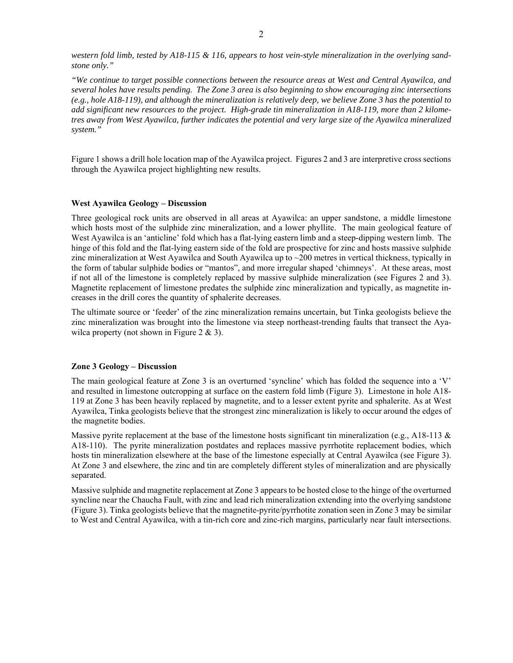*western fold limb, tested by A18-115 & 116, appears to host vein-style mineralization in the overlying sandstone only."* 

*"We continue to target possible connections between the resource areas at West and Central Ayawilca, and several holes have results pending. The Zone 3 area is also beginning to show encouraging zinc intersections (e.g., hole A18-119), and although the mineralization is relatively deep, we believe Zone 3 has the potential to add significant new resources to the project. High-grade tin mineralization in A18-119, more than 2 kilometres away from West Ayawilca, further indicates the potential and very large size of the Ayawilca mineralized system."* 

Figure 1 shows a drill hole location map of the Ayawilca project. Figures 2 and 3 are interpretive cross sections through the Ayawilca project highlighting new results.

### **West Ayawilca Geology – Discussion**

Three geological rock units are observed in all areas at Ayawilca: an upper sandstone, a middle limestone which hosts most of the sulphide zinc mineralization, and a lower phyllite. The main geological feature of West Ayawilca is an 'anticline' fold which has a flat-lying eastern limb and a steep-dipping western limb. The hinge of this fold and the flat-lying eastern side of the fold are prospective for zinc and hosts massive sulphide zinc mineralization at West Ayawilca and South Ayawilca up to ~200 metres in vertical thickness, typically in the form of tabular sulphide bodies or "mantos", and more irregular shaped 'chimneys'. At these areas, most if not all of the limestone is completely replaced by massive sulphide mineralization (see Figures 2 and 3). Magnetite replacement of limestone predates the sulphide zinc mineralization and typically, as magnetite increases in the drill cores the quantity of sphalerite decreases.

The ultimate source or 'feeder' of the zinc mineralization remains uncertain, but Tinka geologists believe the zinc mineralization was brought into the limestone via steep northeast-trending faults that transect the Ayawilca property (not shown in Figure  $2 \& 3$ ).

#### **Zone 3 Geology – Discussion**

The main geological feature at Zone 3 is an overturned 'syncline' which has folded the sequence into a 'V' and resulted in limestone outcropping at surface on the eastern fold limb (Figure 3). Limestone in hole A18- 119 at Zone 3 has been heavily replaced by magnetite, and to a lesser extent pyrite and sphalerite. As at West Ayawilca, Tinka geologists believe that the strongest zinc mineralization is likely to occur around the edges of the magnetite bodies.

Massive pyrite replacement at the base of the limestone hosts significant tin mineralization (e.g., A18-113  $\&$ A18-110). The pyrite mineralization postdates and replaces massive pyrrhotite replacement bodies, which hosts tin mineralization elsewhere at the base of the limestone especially at Central Ayawilca (see Figure 3). At Zone 3 and elsewhere, the zinc and tin are completely different styles of mineralization and are physically separated.

Massive sulphide and magnetite replacement at Zone 3 appears to be hosted close to the hinge of the overturned syncline near the Chaucha Fault, with zinc and lead rich mineralization extending into the overlying sandstone (Figure 3). Tinka geologists believe that the magnetite-pyrite/pyrrhotite zonation seen in Zone 3 may be similar to West and Central Ayawilca, with a tin-rich core and zinc-rich margins, particularly near fault intersections.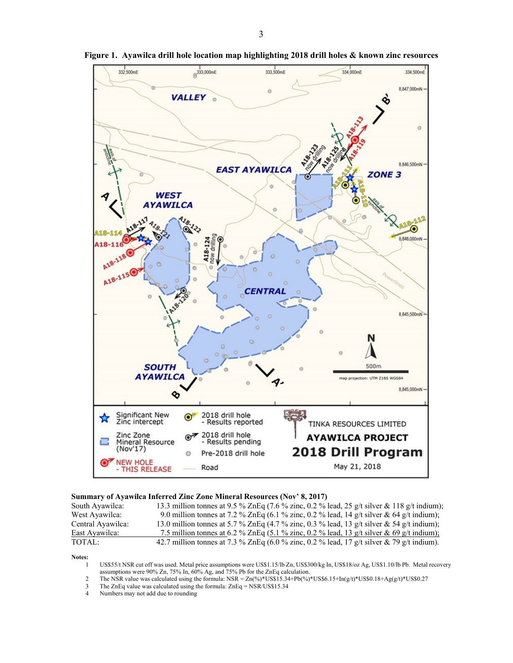

**Figure 1. Ayawilca drill hole location map highlighting 2018 drill holes & known zinc resources** 

#### **Summary of Ayawilca Inferred Zinc Zone Mineral Resources (Nov' 8, 2017)**

| South Ayawilca:   | 13.3 million tonnes at 9.5 % ZnEq (7.6 % zinc, 0.2 % lead, 25 g/t silver & 118 g/t indium); |
|-------------------|---------------------------------------------------------------------------------------------|
| West Ayawilca:    | 9.0 million tonnes at 7.2 % ZnEq (6.1 % zinc, 0.2 % lead, 14 g/t silver & 64 g/t indium);   |
| Central Ayawilca: | 13.0 million tonnes at 5.7 % ZnEq (4.7 % zinc, 0.3 % lead, 13 g/t silver & 54 g/t indium);  |
| East Ayawilca:    | 7.5 million tonnes at 6.2 % ZnEq (5.1 % zinc, 0.2 % lead, 13 g/t silver & 69 g/t indium);   |
| TOTAL:            | 42.7 million tonnes at 7.3 % ZnEq (6.0 % zinc, 0.2 % lead, 17 g/t silver & 79 g/t indium).  |

**Notes:** 

1 US\$55/t NSR cut off was used. Metal price assumptions were US\$1.15/lb Zn, US\$300/kg In, US\$18/oz Ag, US\$1.10/lb Pb. Metal recovery assumptions were 90% Zn, 75% In, 60% Ag, and 75% Pb for the ZnEq calculation.

- 2 The NSR value was calculated using the formula: NSR =  $Zn(\%)^*USS15.34+Pb(\%)^*USS6.15+In(g/t)*USS0.18+Ag(g/t)*USS0.27$ <br>
The ZnEq value was calculated using the formula:  $ZnEq = NSRUSS15.34$
- The ZnEq value was calculated using the formula:  $ZnEq = \text{NSR}/\text{US}\$15.34$
- 4 Numbers may not add due to rounding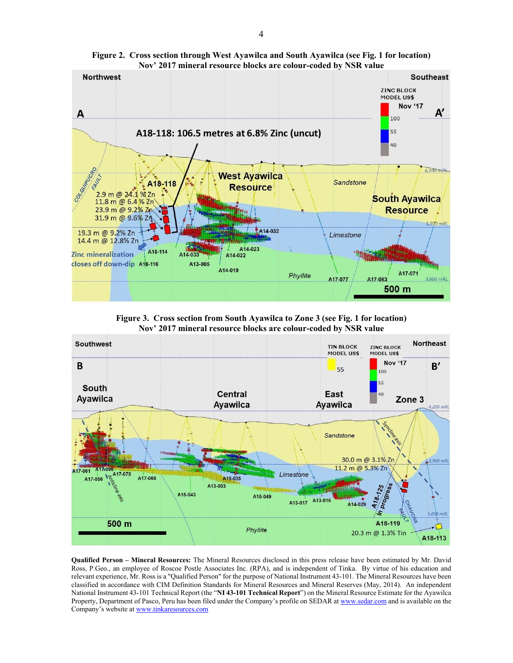

**Figure 2. Cross section through West Ayawilca and South Ayawilca (see Fig. 1 for location) Nov' 2017 mineral resource blocks are colour-coded by NSR value**

**Figure 3. Cross section from South Ayawilca to Zone 3 (see Fig. 1 for location) Nov' 2017 mineral resource blocks are colour-coded by NSR value**



**Qualified Person – Mineral Resources:** The Mineral Resources disclosed in this press release have been estimated by Mr. David Ross, P.Geo., an employee of Roscoe Postle Associates Inc. (RPA), and is independent of Tinka. By virtue of his education and relevant experience, Mr. Ross is a "Qualified Person" for the purpose of National Instrument 43-101. The Mineral Resources have been classified in accordance with CIM Definition Standards for Mineral Resources and Mineral Reserves (May, 2014). An independent National Instrument 43-101 Technical Report (the "**NI 43-101 Technical Report**") on the Mineral Resource Estimate for the Ayawilca Property, Department of Pasco, Peru has been filed under the Company's profile on SEDAR at www.sedar.com and is available on the Company's website at www.tinkaresources.com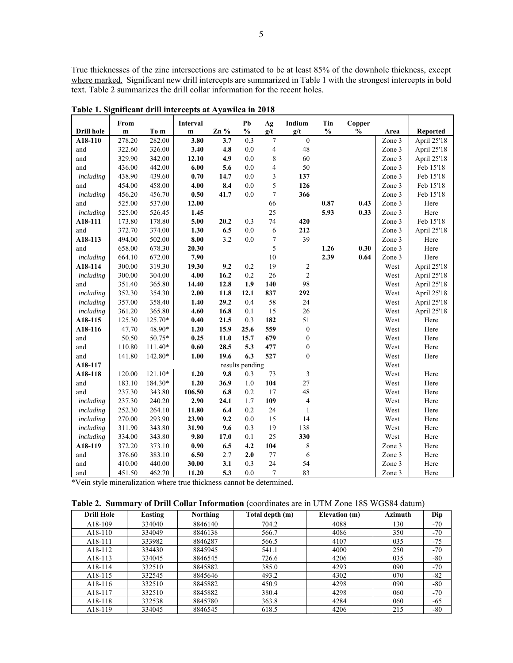True thicknesses of the zinc intersections are estimated to be at least 85% of the downhole thickness, except where marked. Significant new drill intercepts are summarized in Table 1 with the strongest intercepts in bold text. Table 2 summarizes the drill collar information for the recent holes.

|                   | From         |         | Interval     |        | Pb              | Ag               | Indium                  | Tin           | Copper        |        |                 |
|-------------------|--------------|---------|--------------|--------|-----------------|------------------|-------------------------|---------------|---------------|--------|-----------------|
| <b>Drill hole</b> | $\mathbf{m}$ | To m    | $\mathbf{m}$ | $Zn\%$ | $\frac{0}{0}$   | g/t              | g/t                     | $\frac{0}{0}$ | $\frac{0}{0}$ | Area   | <b>Reported</b> |
| A18-110           | 278.20       | 282.00  | 3.80         | 3.7    | 0.3             | $\overline{7}$   | $\boldsymbol{0}$        |               |               | Zone 3 | April 25'18     |
| and               | 322.60       | 326.00  | 3.40         | 4.8    | 0.0             | $\overline{4}$   | 48                      |               |               | Zone 3 | April 25'18     |
| and               | 329.90       | 342.00  | 12.10        | 4.9    | 0.0             | 8                | 60                      |               |               | Zone 3 | April 25'18     |
| and               | 436.00       | 442.00  | $6.00$       | 5.6    | 0.0             | 4                | 50                      |               |               | Zone 3 | Feb 15'18       |
| including         | 438.90       | 439.60  | 0.70         | 14.7   | 0.0             | 3                | 137                     |               |               | Zone 3 | Feb 15'18       |
| and               | 454.00       | 458.00  | 4.00         | 8.4    | 0.0             | 5                | 126                     |               |               | Zone 3 | Feb 15'18       |
| including         | 456.20       | 456.70  | $0.50\,$     | 41.7   | $0.0\,$         | $\tau$           | 366                     |               |               | Zone 3 | Feb 15'18       |
| and               | 525.00       | 537.00  | 12.00        |        |                 | 66               |                         | 0.87          | 0.43          | Zone 3 | Here            |
| including         | 525.00       | 526.45  | 1.45         |        |                 | 25               |                         | 5.93          | 0.33          | Zone 3 | Here            |
| A18-111           | 173.80       | 178.80  | 5.00         | 20.2   | 0.3             | 74               | 420                     |               |               | Zone 3 | Feb 15'18       |
| and               | 372.70       | 374.00  | 1.30         | 6.5    | $0.0\,$         | 6                | 212                     |               |               | Zone 3 | April 25'18     |
| A18-113           | 494.00       | 502.00  | 8.00         | 3.2    | $0.0\,$         | $\boldsymbol{7}$ | 39                      |               |               | Zone 3 | Here            |
| and               | 658.00       | 678.30  | 20.30        |        |                 | 5                |                         | 1.26          | 0.30          | Zone 3 | Here            |
| including         | 664.10       | 672.00  | 7.90         |        |                 | 10               |                         | 2.39          | 0.64          | Zone 3 | Here            |
| A18-114           | 300.00       | 319.30  | 19.30        | 9.2    | 0.2             | 19               | $\sqrt{2}$              |               |               | West   | April 25'18     |
| including         | 300.00       | 304.00  | 4.00         | 16.2   | 0.2             | 26               | $\overline{c}$          |               |               | West   | April 25'18     |
| and               | 351.40       | 365.80  | 14.40        | 12.8   | 1.9             | 140              | 98                      |               |               | West   | April 25'18     |
| including         | 352.30       | 354.30  | 2.00         | 11.8   | 12.1            | 837              | 292                     |               |               | West   | April 25'18     |
| including         | 357.00       | 358.40  | 1.40         | 29.2   | 0.4             | 58               | 24                      |               |               | West   | April 25'18     |
| including         | 361.20       | 365.80  | 4.60         | 16.8   | 0.1             | 15               | 26                      |               |               | West   | April 25'18     |
| A18-115           | 125.30       | 125.70* | 0.40         | 21.5   | 0.3             | 182              | 51                      |               |               | West   | Here            |
| A18-116           | 47.70        | 48.90*  | 1.20         | 15.9   | 25.6            | 559              | $\boldsymbol{0}$        |               |               | West   | Here            |
| and               | 50.50        | 50.75*  | 0.25         | 11.0   | 15.7            | 679              | $\boldsymbol{0}$        |               |               | West   | Here            |
| and               | 110.80       | 111.40* | 0.60         | 28.5   | 5.3             | 477              | $\boldsymbol{0}$        |               |               | West   | Here            |
| and               | 141.80       | 142.80* | 1.00         | 19.6   | 6.3             | 527              | $\boldsymbol{0}$        |               |               | West   | Here            |
| A18-117           |              |         |              |        | results pending |                  |                         |               |               | West   |                 |
| A18-118           | 120.00       | 121.10* | 1.20         | 9.8    | 0.3             | 73               | $\overline{\mathbf{3}}$ |               |               | West   | Here            |
| and               | 183.10       | 184.30* | 1.20         | 36.9   | $1.0\,$         | 104              | 27                      |               |               | West   | Here            |
| and               | 237.30       | 343.80  | 106.50       | 6.8    | 0.2             | 17               | 48                      |               |               | West   | Here            |
| including         | 237.30       | 240.20  | 2.90         | 24.1   | 1.7             | 109              | $\overline{4}$          |               |               | West   | Here            |
| including         | 252.30       | 264.10  | 11.80        | 6.4    | 0.2             | 24               | $\mathbf{1}$            |               |               | West   | Here            |
| including         | 270.00       | 293.90  | 23.90        | 9.2    | 0.0             | 15               | 14                      |               |               | West   | Here            |
| including         | 311.90       | 343.80  | 31.90        | 9.6    | 0.3             | 19               | 138                     |               |               | West   | Here            |
| including         | 334.00       | 343.80  | 9.80         | 17.0   | 0.1             | 25               | 330                     |               |               | West   | Here            |
| A18-119           | 372.20       | 373.10  | 0.90         | 6.5    | 4.2             | 104              | $\,$ $\,$               |               |               | Zone 3 | Here            |
| and               | 376.60       | 383.10  | 6.50         | 2.7    | 2.0             | 77               | 6                       |               |               | Zone 3 | Here            |
| and               | 410.00       | 440.00  | 30.00        | 3.1    | 0.3             | 24               | 54                      |               |               | Zone 3 | Here            |
| and               | 451.50       | 462.70  | 11.20        | 5.3    | 0.0             | $\overline{7}$   | 83                      |               |               | Zone 3 | Here            |

**Table 1. Significant drill intercepts at Ayawilca in 2018** 

\*Vein style mineralization where true thickness cannot be determined.

|  |  | <b>Table 2. Summary of Drill Collar Information</b> (coordinates are in UTM Zone 18S WGS84 datum) |  |  |  |
|--|--|---------------------------------------------------------------------------------------------------|--|--|--|
|--|--|---------------------------------------------------------------------------------------------------|--|--|--|

| <b>Drill Hole</b>    | Easting | <b>Northing</b> | Total depth (m) | Elevation (m) | <b>Azimuth</b> | Dip   |
|----------------------|---------|-----------------|-----------------|---------------|----------------|-------|
| A18-109              | 334040  | 8846140         | 704.2           | 4088          | 130            | $-70$ |
| A <sub>18</sub> -110 | 334049  | 8846138         | 566.7           | 4086          | 350            | $-70$ |
| A <sub>18</sub> -111 | 333982  | 8846287         | 566.5           | 4107          | 035            | $-75$ |
| A <sub>18</sub> -112 | 334430  | 8845945         | 541.1           | 4000          | 250            | $-70$ |
| A <sub>18</sub> -113 | 334045  | 8846545         | 726.6           | 4206          | 035            | $-80$ |
| A <sub>18</sub> -114 | 332510  | 8845882         | 385.0           | 4293          | 090            | $-70$ |
| A <sub>18</sub> -115 | 332545  | 8845646         | 493.2           | 4302          | 070            | $-82$ |
| A <sub>18</sub> -116 | 332510  | 8845882         | 450.9           | 4298          | 090            | $-80$ |
| A <sub>18</sub> -117 | 332510  | 8845882         | 380.4           | 4298          | 060            | $-70$ |
| A18-118              | 332538  | 8845780         | 363.8           | 4284          | 060            | $-65$ |
| A <sub>18</sub> -119 | 334045  | 8846545         | 618.5           | 4206          | 215            | $-80$ |